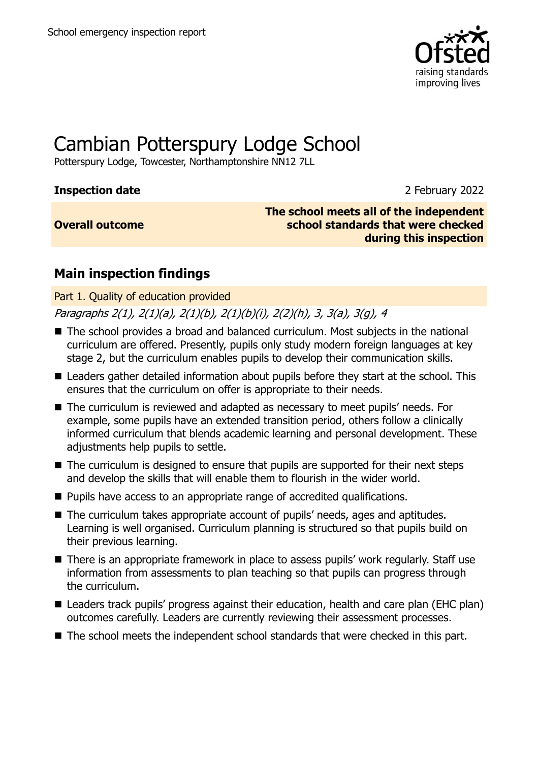

# Cambian Potterspury Lodge School

Potterspury Lodge, Towcester, Northamptonshire NN12 7LL

# **Inspection date** 2 February 2022

# **Overall outcome**

**The school meets all of the independent school standards that were checked during this inspection**

# **Main inspection findings**

Part 1. Quality of education provided

Paragraphs 2(1), 2(1)(a), 2(1)(b), 2(1)(b)(i), 2(2)(h), 3, 3(a), 3(g), 4

- The school provides a broad and balanced curriculum. Most subjects in the national curriculum are offered. Presently, pupils only study modern foreign languages at key stage 2, but the curriculum enables pupils to develop their communication skills.
- Leaders gather detailed information about pupils before they start at the school. This ensures that the curriculum on offer is appropriate to their needs.
- The curriculum is reviewed and adapted as necessary to meet pupils' needs. For example, some pupils have an extended transition period, others follow a clinically informed curriculum that blends academic learning and personal development. These adjustments help pupils to settle.
- The curriculum is designed to ensure that pupils are supported for their next steps and develop the skills that will enable them to flourish in the wider world.
- Pupils have access to an appropriate range of accredited qualifications.
- The curriculum takes appropriate account of pupils' needs, ages and aptitudes. Learning is well organised. Curriculum planning is structured so that pupils build on their previous learning.
- There is an appropriate framework in place to assess pupils' work regularly. Staff use information from assessments to plan teaching so that pupils can progress through the curriculum.
- Leaders track pupils' progress against their education, health and care plan (EHC plan) outcomes carefully. Leaders are currently reviewing their assessment processes.
- The school meets the independent school standards that were checked in this part.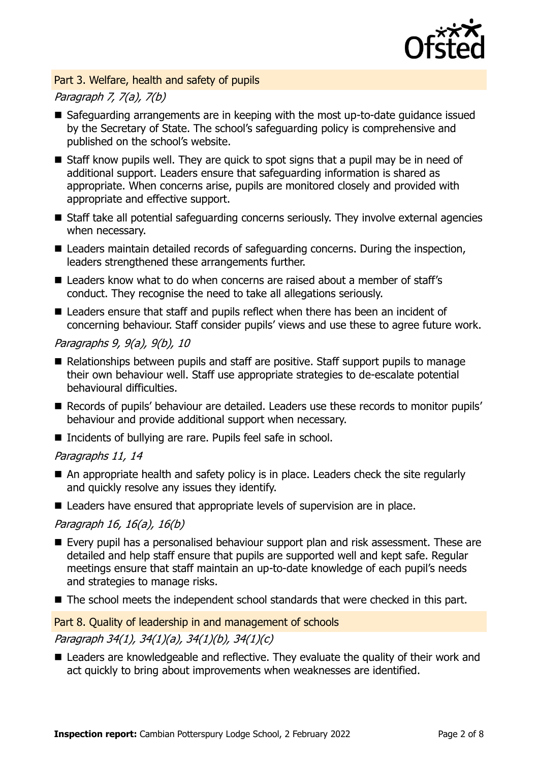

## Part 3. Welfare, health and safety of pupils

# Paragraph 7, 7(a), 7(b)

- Safeguarding arrangements are in keeping with the most up-to-date guidance issued by the Secretary of State. The school's safeguarding policy is comprehensive and published on the school's website.
- Staff know pupils well. They are quick to spot signs that a pupil may be in need of additional support. Leaders ensure that safeguarding information is shared as appropriate. When concerns arise, pupils are monitored closely and provided with appropriate and effective support.
- Staff take all potential safeguarding concerns seriously. They involve external agencies when necessary.
- Leaders maintain detailed records of safeguarding concerns. During the inspection, leaders strengthened these arrangements further.
- Leaders know what to do when concerns are raised about a member of staff's conduct. They recognise the need to take all allegations seriously.
- Leaders ensure that staff and pupils reflect when there has been an incident of concerning behaviour. Staff consider pupils' views and use these to agree future work.

## Paragraphs 9, 9(a), 9(b), 10

- Relationships between pupils and staff are positive. Staff support pupils to manage their own behaviour well. Staff use appropriate strategies to de-escalate potential behavioural difficulties.
- Records of pupils' behaviour are detailed. Leaders use these records to monitor pupils' behaviour and provide additional support when necessary.
- Incidents of bullying are rare. Pupils feel safe in school.

# Paragraphs 11, 14

- An appropriate health and safety policy is in place. Leaders check the site regularly and quickly resolve any issues they identify.
- Leaders have ensured that appropriate levels of supervision are in place.

# Paragraph 16, 16(a), 16(b)

- Every pupil has a personalised behaviour support plan and risk assessment. These are detailed and help staff ensure that pupils are supported well and kept safe. Regular meetings ensure that staff maintain an up-to-date knowledge of each pupil's needs and strategies to manage risks.
- The school meets the independent school standards that were checked in this part.

### Part 8. Quality of leadership in and management of schools

# Paragraph 34(1), 34(1)(a), 34(1)(b), 34(1)(c)

■ Leaders are knowledgeable and reflective. They evaluate the quality of their work and act quickly to bring about improvements when weaknesses are identified.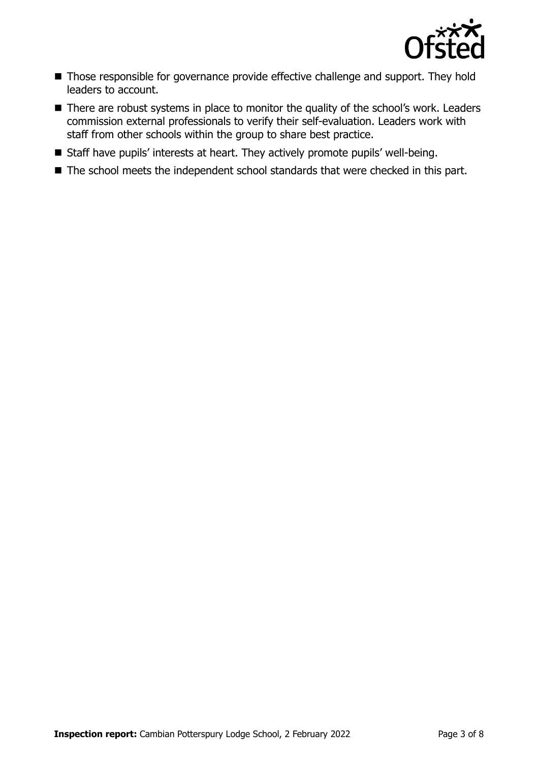

- Those responsible for governance provide effective challenge and support. They hold leaders to account.
- There are robust systems in place to monitor the quality of the school's work. Leaders commission external professionals to verify their self-evaluation. Leaders work with staff from other schools within the group to share best practice.
- Staff have pupils' interests at heart. They actively promote pupils' well-being.
- The school meets the independent school standards that were checked in this part.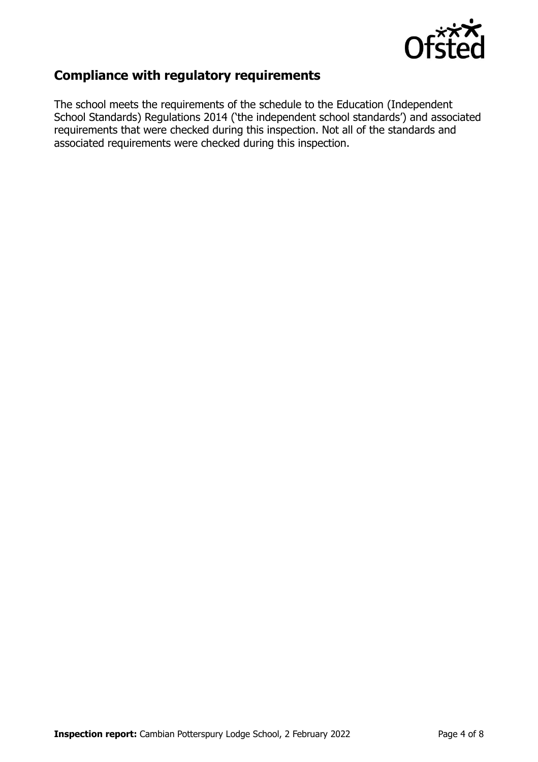

# **Compliance with regulatory requirements**

The school meets the requirements of the schedule to the Education (Independent School Standards) Regulations 2014 ('the independent school standards') and associated requirements that were checked during this inspection. Not all of the standards and associated requirements were checked during this inspection.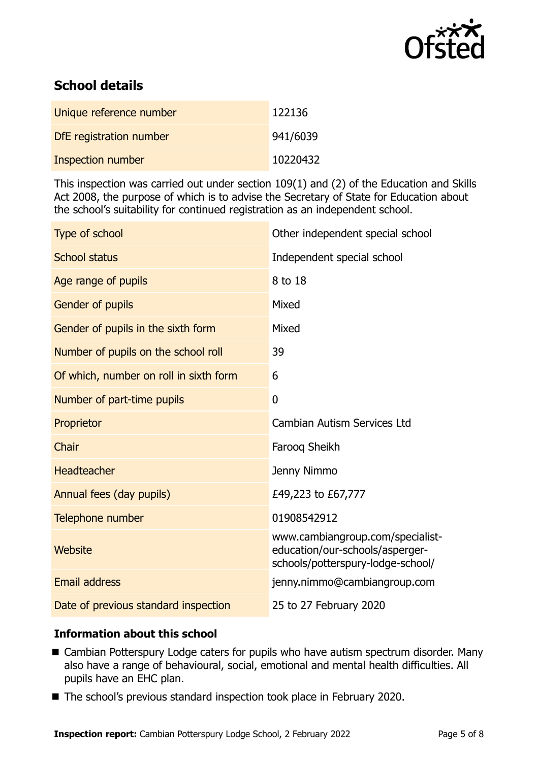

# **School details**

| Unique reference number  | 122136   |
|--------------------------|----------|
| DfE registration number  | 941/6039 |
| <b>Inspection number</b> | 10220432 |

This inspection was carried out under section 109(1) and (2) of the Education and Skills Act 2008, the purpose of which is to advise the Secretary of State for Education about the school's suitability for continued registration as an independent school.

| Type of school                         | Other independent special school                                                                         |
|----------------------------------------|----------------------------------------------------------------------------------------------------------|
| <b>School status</b>                   | Independent special school                                                                               |
| Age range of pupils                    | 8 to 18                                                                                                  |
| Gender of pupils                       | Mixed                                                                                                    |
| Gender of pupils in the sixth form     | Mixed                                                                                                    |
| Number of pupils on the school roll    | 39                                                                                                       |
| Of which, number on roll in sixth form | 6                                                                                                        |
| Number of part-time pupils             | 0                                                                                                        |
| Proprietor                             | <b>Cambian Autism Services Ltd</b>                                                                       |
| Chair                                  | Faroog Sheikh                                                                                            |
| Headteacher                            | Jenny Nimmo                                                                                              |
| Annual fees (day pupils)               | £49,223 to £67,777                                                                                       |
| Telephone number                       | 01908542912                                                                                              |
| <b>Website</b>                         | www.cambiangroup.com/specialist-<br>education/our-schools/asperger-<br>schools/potterspury-lodge-school/ |
| <b>Email address</b>                   | jenny.nimmo@cambiangroup.com                                                                             |
| Date of previous standard inspection   | 25 to 27 February 2020                                                                                   |

# **Information about this school**

- Cambian Potterspury Lodge caters for pupils who have autism spectrum disorder. Many also have a range of behavioural, social, emotional and mental health difficulties. All pupils have an EHC plan.
- The school's previous standard inspection took place in February 2020.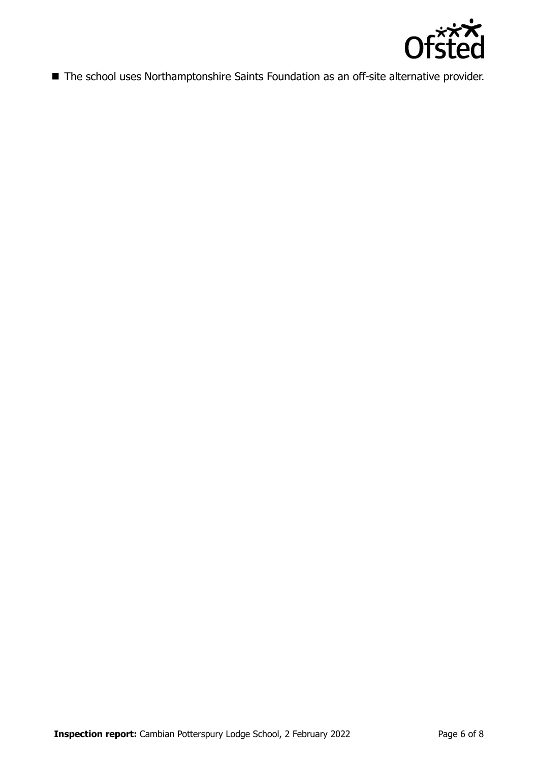

■ The school uses Northamptonshire Saints Foundation as an off-site alternative provider.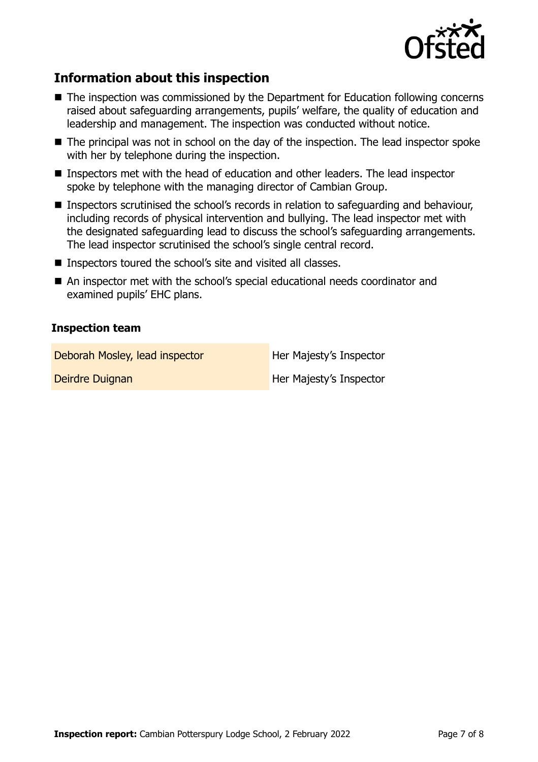

# **Information about this inspection**

- The inspection was commissioned by the Department for Education following concerns raised about safeguarding arrangements, pupils' welfare, the quality of education and leadership and management. The inspection was conducted without notice.
- The principal was not in school on the day of the inspection. The lead inspector spoke with her by telephone during the inspection.
- Inspectors met with the head of education and other leaders. The lead inspector spoke by telephone with the managing director of Cambian Group.
- Inspectors scrutinised the school's records in relation to safeguarding and behaviour, including records of physical intervention and bullying. The lead inspector met with the designated safeguarding lead to discuss the school's safeguarding arrangements. The lead inspector scrutinised the school's single central record.
- Inspectors toured the school's site and visited all classes.
- An inspector met with the school's special educational needs coordinator and examined pupils' EHC plans.

# **Inspection team**

| Deborah Mosley, lead inspector | Her Majesty's Inspector |
|--------------------------------|-------------------------|
| Deirdre Duignan                | Her Majesty's Inspector |